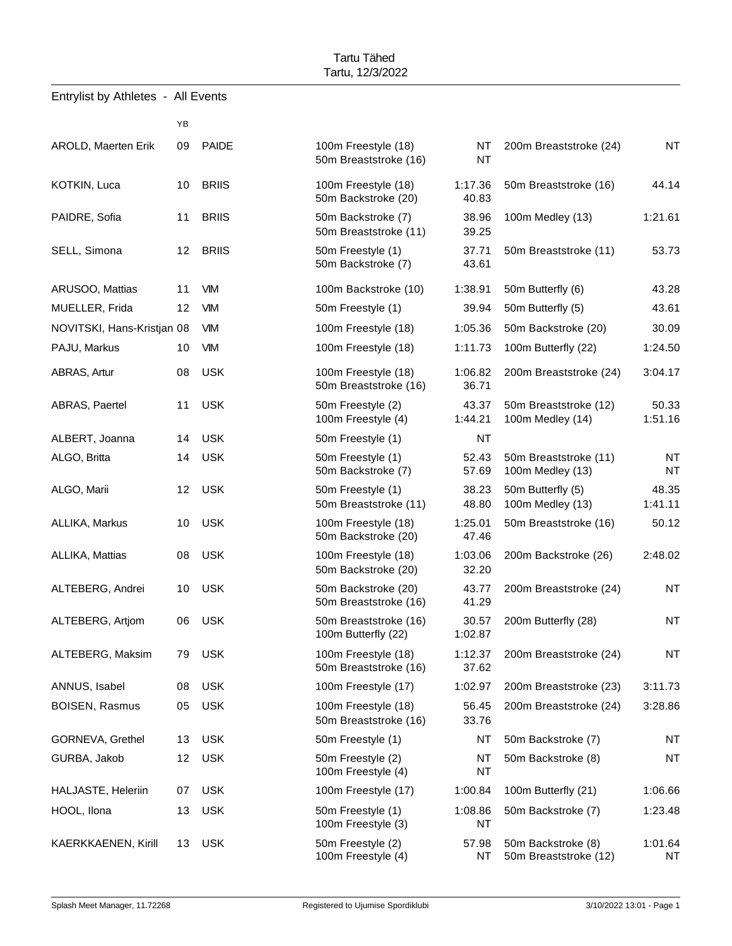|                            | YB              |              |                                              |                        |                                             |                        |
|----------------------------|-----------------|--------------|----------------------------------------------|------------------------|---------------------------------------------|------------------------|
| AROLD, Maerten Erik        | 09              | <b>PAIDE</b> | 100m Freestyle (18)<br>50m Breaststroke (16) | <b>NT</b><br><b>NT</b> | 200m Breaststroke (24)                      | <b>NT</b>              |
| <b>KOTKIN, Luca</b>        | 10              | <b>BRIIS</b> | 100m Freestyle (18)<br>50m Backstroke (20)   | 1:17.36<br>40.83       | 50m Breaststroke (16)                       | 44.14                  |
| PAIDRE, Sofia              | 11              | <b>BRIIS</b> | 50m Backstroke (7)<br>50m Breaststroke (11)  | 38.96<br>39.25         | 100m Medley (13)                            | 1:21.61                |
| SELL, Simona               | 12 <sup>°</sup> | <b>BRIIS</b> | 50m Freestyle (1)<br>50m Backstroke (7)      | 37.71<br>43.61         | 50m Breaststroke (11)                       | 53.73                  |
| ARUSOO, Mattias            | 11              | <b>VIM</b>   | 100m Backstroke (10)                         | 1:38.91                | 50m Butterfly (6)                           | 43.28                  |
| MUELLER, Frida             | 12              | <b>VIM</b>   | 50m Freestyle (1)                            | 39.94                  | 50m Butterfly (5)                           | 43.61                  |
| NOVITSKI, Hans-Kristjan 08 |                 | <b>VIM</b>   | 100m Freestyle (18)                          | 1:05.36                | 50m Backstroke (20)                         | 30.09                  |
| PAJU, Markus               | 10              | <b>VIM</b>   | 100m Freestyle (18)                          | 1:11.73                | 100m Butterfly (22)                         | 1:24.50                |
| ABRAS, Artur               | 08              | <b>USK</b>   | 100m Freestyle (18)<br>50m Breaststroke (16) | 1:06.82<br>36.71       | 200m Breaststroke (24)                      | 3:04.17                |
| ABRAS, Paertel             | 11              | <b>USK</b>   | 50m Freestyle (2)<br>100m Freestyle (4)      | 43.37<br>1:44.21       | 50m Breaststroke (12)<br>100m Medley (14)   | 50.33<br>1:51.16       |
| ALBERT, Joanna             | 14              | <b>USK</b>   | 50m Freestyle (1)                            | <b>NT</b>              |                                             |                        |
| ALGO, Britta               | 14              | <b>USK</b>   | 50m Freestyle (1)<br>50m Backstroke (7)      | 52.43<br>57.69         | 50m Breaststroke (11)<br>100m Medley (13)   | <b>NT</b><br><b>NT</b> |
| ALGO, Marii                | 12              | <b>USK</b>   | 50m Freestyle (1)<br>50m Breaststroke (11)   | 38.23<br>48.80         | 50m Butterfly (5)<br>100m Medley (13)       | 48.35<br>1:41.11       |
| ALLIKA, Markus             | 10              | <b>USK</b>   | 100m Freestyle (18)<br>50m Backstroke (20)   | 1:25.01<br>47.46       | 50m Breaststroke (16)                       | 50.12                  |
| ALLIKA, Mattias            | 08              | <b>USK</b>   | 100m Freestyle (18)<br>50m Backstroke (20)   | 1:03.06<br>32.20       | 200m Backstroke (26)                        | 2:48.02                |
| ALTEBERG, Andrei           | 10              | <b>USK</b>   | 50m Backstroke (20)<br>50m Breaststroke (16) | 43.77<br>41.29         | 200m Breaststroke (24)                      | <b>NT</b>              |
| ALTEBERG, Artiom           | 06              | <b>USK</b>   | 50m Breaststroke (16)<br>100m Butterfly (22) | 30.57<br>1:02.87       | 200m Butterfly (28)                         | <b>NT</b>              |
| ALTEBERG, Maksim           | 79              | <b>USK</b>   | 100m Freestyle (18)<br>50m Breaststroke (16) | 1:12.37<br>37.62       | 200m Breaststroke (24)                      | <b>NT</b>              |
| ANNUS, Isabel              | 08              | <b>USK</b>   | 100m Freestyle (17)                          | 1:02.97                | 200m Breaststroke (23)                      | 3:11.73                |
| <b>BOISEN, Rasmus</b>      | 05              | <b>USK</b>   | 100m Freestyle (18)<br>50m Breaststroke (16) | 56.45<br>33.76         | 200m Breaststroke (24)                      | 3:28.86                |
| GORNEVA, Grethel           | 13              | <b>USK</b>   | 50m Freestyle (1)                            | NT                     | 50m Backstroke (7)                          | <b>NT</b>              |
| GURBA, Jakob               | 12              | <b>USK</b>   | 50m Freestyle (2)<br>100m Freestyle (4)      | NT<br><b>NT</b>        | 50m Backstroke (8)                          | <b>NT</b>              |
| HALJASTE, Heleriin         | 07              | <b>USK</b>   | 100m Freestyle (17)                          | 1:00.84                | 100m Butterfly (21)                         | 1:06.66                |
| HOOL, Ilona                | 13              | <b>USK</b>   | 50m Freestyle (1)<br>100m Freestyle (3)      | 1:08.86<br>NT          | 50m Backstroke (7)                          | 1:23.48                |
| KAERKKAENEN, Kirill        | 13              | <b>USK</b>   | 50m Freestyle (2)<br>100m Freestyle (4)      | 57.98<br>ΝT            | 50m Backstroke (8)<br>50m Breaststroke (12) | 1:01.64<br><b>NT</b>   |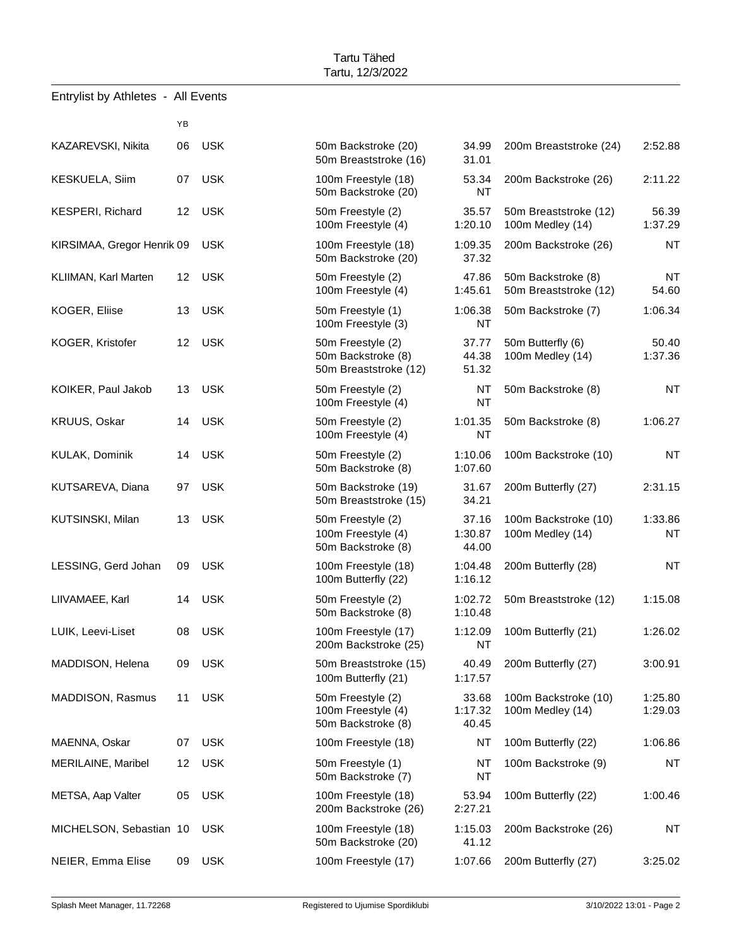| Entrylist by Athletes - All Events |                 |            |                                                                  |                           |                                             |                      |
|------------------------------------|-----------------|------------|------------------------------------------------------------------|---------------------------|---------------------------------------------|----------------------|
|                                    | YB              |            |                                                                  |                           |                                             |                      |
| KAZAREVSKI, Nikita                 | 06              | <b>USK</b> | 50m Backstroke (20)<br>50m Breaststroke (16)                     | 34.99<br>31.01            | 200m Breaststroke (24)                      | 2:52.88              |
| KESKUELA, Siim                     | 07              | <b>USK</b> | 100m Freestyle (18)<br>50m Backstroke (20)                       | 53.34<br><b>NT</b>        | 200m Backstroke (26)                        | 2:11.22              |
| <b>KESPERI, Richard</b>            | 12              | <b>USK</b> | 50m Freestyle (2)<br>100m Freestyle (4)                          | 35.57<br>1:20.10          | 50m Breaststroke (12)<br>100m Medley (14)   | 56.39<br>1:37.29     |
| KIRSIMAA, Gregor Henrik 09         |                 | <b>USK</b> | 100m Freestyle (18)<br>50m Backstroke (20)                       | 1:09.35<br>37.32          | 200m Backstroke (26)                        | <b>NT</b>            |
| KLIIMAN, Karl Marten               | 12 <sup>°</sup> | <b>USK</b> | 50m Freestyle (2)<br>100m Freestyle (4)                          | 47.86<br>1:45.61          | 50m Backstroke (8)<br>50m Breaststroke (12) | <b>NT</b><br>54.60   |
| KOGER, Eliise                      | 13              | <b>USK</b> | 50m Freestyle (1)<br>100m Freestyle (3)                          | 1:06.38<br><b>NT</b>      | 50m Backstroke (7)                          | 1:06.34              |
| KOGER, Kristofer                   |                 | 12 USK     | 50m Freestyle (2)<br>50m Backstroke (8)<br>50m Breaststroke (12) | 37.77<br>44.38<br>51.32   | 50m Butterfly (6)<br>100m Medley (14)       | 50.40<br>1:37.36     |
| KOIKER, Paul Jakob                 | 13              | <b>USK</b> | 50m Freestyle (2)<br>100m Freestyle (4)                          | NT<br><b>NT</b>           | 50m Backstroke (8)                          | <b>NT</b>            |
| KRUUS, Oskar                       | 14              | <b>USK</b> | 50m Freestyle (2)<br>1:01.35<br>100m Freestyle (4)<br><b>NT</b>  |                           | 50m Backstroke (8)                          | 1:06.27              |
| KULAK, Dominik                     | 14              | <b>USK</b> | 50m Freestyle (2)<br>50m Backstroke (8)                          | 1:10.06<br>1:07.60        | 100m Backstroke (10)                        | <b>NT</b>            |
| KUTSAREVA, Diana                   | 97              | <b>USK</b> | 50m Backstroke (19)<br>50m Breaststroke (15)                     | 31.67<br>34.21            | 200m Butterfly (27)                         | 2:31.15              |
| KUTSINSKI, Milan                   | 13              | <b>USK</b> | 50m Freestyle (2)<br>100m Freestyle (4)<br>50m Backstroke (8)    | 37.16<br>1:30.87<br>44.00 | 100m Backstroke (10)<br>100m Medley (14)    | 1:33.86<br><b>NT</b> |
| LESSING, Gerd Johan                | 09              | <b>USK</b> | 100m Freestyle (18)<br>100m Butterfly (22)                       | 1:04.48<br>1:16.12        | 200m Butterfly (28)                         | <b>NT</b>            |
| LIIVAMAEE, Karl                    |                 | 14 USK     | 50m Freestyle (2)<br>50m Backstroke (8)                          | 1:02.72<br>1:10.48        | 50m Breaststroke (12)                       | 1:15.08              |
| LUIK, Leevi-Liset                  | 08              | <b>USK</b> | 100m Freestyle (17)<br>200m Backstroke (25)                      | 1:12.09<br>NT             | 100m Butterfly (21)                         | 1:26.02              |
| MADDISON, Helena                   | 09              | <b>USK</b> | 50m Breaststroke (15)<br>100m Butterfly (21)                     | 40.49<br>1:17.57          | 200m Butterfly (27)                         | 3:00.91              |
| MADDISON, Rasmus                   | 11              | <b>USK</b> | 50m Freestyle (2)<br>100m Freestyle (4)<br>50m Backstroke (8)    | 33.68<br>1:17.32<br>40.45 | 100m Backstroke (10)<br>100m Medley (14)    | 1:25.80<br>1:29.03   |
| MAENNA, Oskar                      | 07              | <b>USK</b> | 100m Freestyle (18)                                              | NT                        | 100m Butterfly (22)                         | 1:06.86              |
| MERILAINE, Maribel                 | 12              | <b>USK</b> | 50m Freestyle (1)<br>50m Backstroke (7)                          | NT<br>ΝT                  | 100m Backstroke (9)                         | <b>NT</b>            |
| METSA, Aap Valter                  | 05              | <b>USK</b> | 100m Freestyle (18)<br>200m Backstroke (26)                      | 53.94<br>2:27.21          | 100m Butterfly (22)                         | 1:00.46              |
| MICHELSON, Sebastian 10            |                 | <b>USK</b> | 100m Freestyle (18)<br>50m Backstroke (20)                       | 1:15.03<br>41.12          | 200m Backstroke (26)                        | <b>NT</b>            |
| NEIER, Emma Elise                  | 09              | <b>USK</b> | 100m Freestyle (17)                                              | 1:07.66                   | 200m Butterfly (27)                         | 3:25.02              |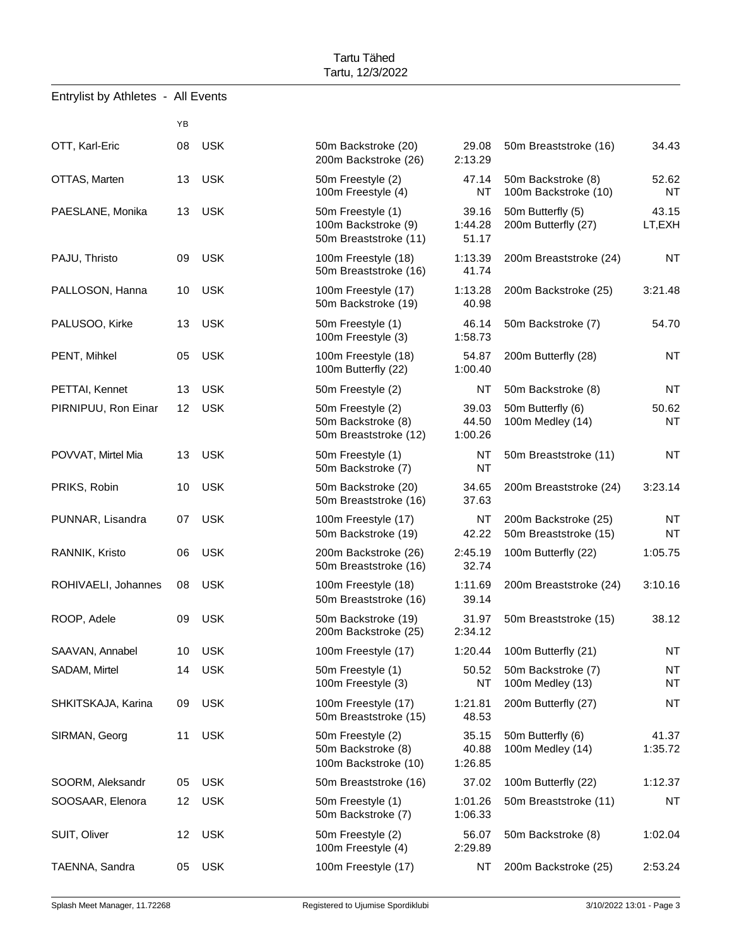|                     | YB              |            |                                                                   |                           |                                               |                        |
|---------------------|-----------------|------------|-------------------------------------------------------------------|---------------------------|-----------------------------------------------|------------------------|
| OTT, Karl-Eric      | 08              | <b>USK</b> | 50m Backstroke (20)<br>200m Backstroke (26)                       | 29.08<br>2:13.29          | 50m Breaststroke (16)                         | 34.43                  |
| OTTAS, Marten       | 13              | <b>USK</b> | 50m Freestyle (2)<br>100m Freestyle (4)                           | 47.14<br>NT               | 50m Backstroke (8)<br>100m Backstroke (10)    | 52.62<br><b>NT</b>     |
| PAESLANE, Monika    | 13 <sup>°</sup> | <b>USK</b> | 50m Freestyle (1)<br>100m Backstroke (9)<br>50m Breaststroke (11) | 39.16<br>1:44.28<br>51.17 | 50m Butterfly (5)<br>200m Butterfly (27)      | 43.15<br>LT,EXH        |
| PAJU, Thristo       | 09              | <b>USK</b> | 100m Freestyle (18)<br>50m Breaststroke (16)                      | 1:13.39<br>41.74          | 200m Breaststroke (24)                        | <b>NT</b>              |
| PALLOSON, Hanna     | 10              | <b>USK</b> | 100m Freestyle (17)<br>50m Backstroke (19)                        | 1:13.28<br>40.98          | 200m Backstroke (25)                          | 3:21.48                |
| PALUSOO, Kirke      | 13              | <b>USK</b> | 50m Freestyle (1)<br>100m Freestyle (3)                           | 46.14<br>1:58.73          | 50m Backstroke (7)                            | 54.70                  |
| PENT, Mihkel        | 05              | <b>USK</b> | 100m Freestyle (18)<br>100m Butterfly (22)                        | 54.87<br>1:00.40          | 200m Butterfly (28)                           | <b>NT</b>              |
| PETTAI, Kennet      | 13              | <b>USK</b> | 50m Freestyle (2)                                                 | NT                        | 50m Backstroke (8)                            | <b>NT</b>              |
| PIRNIPUU, Ron Einar | 12 <sup>°</sup> | <b>USK</b> | 50m Freestyle (2)<br>50m Backstroke (8)<br>50m Breaststroke (12)  | 39.03<br>44.50<br>1:00.26 | 50m Butterfly (6)<br>100m Medley (14)         | 50.62<br><b>NT</b>     |
| POVVAT, Mirtel Mia  | 13              | <b>USK</b> | 50m Freestyle (1)<br>50m Backstroke (7)                           | NT<br><b>NT</b>           | 50m Breaststroke (11)                         | <b>NT</b>              |
| PRIKS, Robin        | 10              | <b>USK</b> | 50m Backstroke (20)<br>50m Breaststroke (16)                      | 34.65<br>37.63            | 200m Breaststroke (24)                        | 3:23.14                |
| PUNNAR, Lisandra    | 07              | <b>USK</b> | 100m Freestyle (17)<br>50m Backstroke (19)                        | NT<br>42.22               | 200m Backstroke (25)<br>50m Breaststroke (15) | <b>NT</b><br><b>NT</b> |
| RANNIK, Kristo      | 06              | <b>USK</b> | 200m Backstroke (26)<br>50m Breaststroke (16)                     | 2:45.19<br>32.74          | 100m Butterfly (22)                           | 1:05.75                |
| ROHIVAELI, Johannes | 08              | <b>USK</b> | 100m Freestyle (18)<br>50m Breaststroke (16)                      | 1:11.69<br>39.14          | 200m Breaststroke (24)                        | 3:10.16                |
| ROOP, Adele         | 09              | <b>USK</b> | 50m Backstroke (19)<br>200m Backstroke (25)                       | 31.97<br>2:34.12          | 50m Breaststroke (15)                         | 38.12                  |
| SAAVAN, Annabel     |                 | 10 USK     | 100m Freestyle (17)                                               | 1:20.44                   | 100m Butterfly (21)                           | <b>NT</b>              |
| SADAM, Mirtel       |                 | 14 USK     | 50m Freestyle (1)<br>100m Freestyle (3)                           | 50.52<br>NT               | 50m Backstroke (7)<br>100m Medley (13)        | <b>NT</b><br><b>NT</b> |
| SHKITSKAJA, Karina  | 09              | USK        | 100m Freestyle (17)<br>50m Breaststroke (15)                      | 1:21.81<br>48.53          | 200m Butterfly (27)                           | <b>NT</b>              |
| SIRMAN, Georg       | 11              | USK        | 50m Freestyle (2)<br>50m Backstroke (8)<br>100m Backstroke (10)   | 35.15<br>40.88<br>1:26.85 | 50m Butterfly (6)<br>100m Medley (14)         | 41.37<br>1:35.72       |
| SOORM, Aleksandr    | 05              | <b>USK</b> | 50m Breaststroke (16)                                             | 37.02                     | 100m Butterfly (22)                           | 1:12.37                |
| SOOSAAR, Elenora    | 12              | <b>USK</b> | 50m Freestyle (1)<br>50m Backstroke (7)                           | 1:01.26<br>1:06.33        | 50m Breaststroke (11)                         | <b>NT</b>              |
| SUIT, Oliver        | 12              | <b>USK</b> | 50m Freestyle (2)<br>100m Freestyle (4)                           | 56.07<br>2:29.89          | 50m Backstroke (8)                            | 1:02.04                |
| TAENNA, Sandra      | 05              | <b>USK</b> | 100m Freestyle (17)                                               | NT                        | 200m Backstroke (25)                          | 2:53.24                |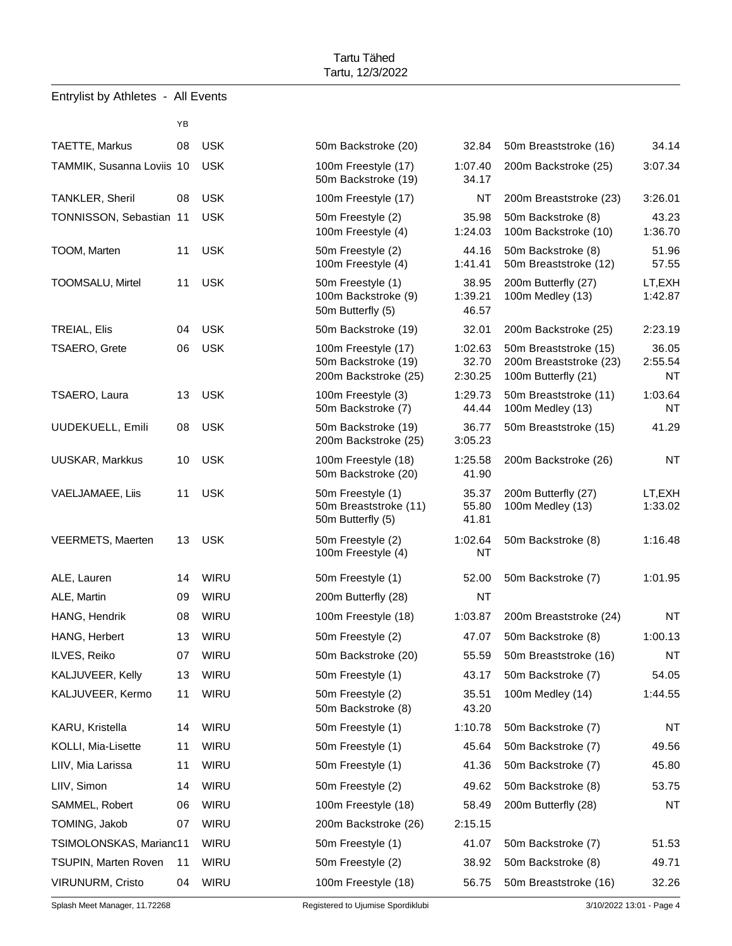| Entrylist by Athletes - |  |  | All Events |
|-------------------------|--|--|------------|
|-------------------------|--|--|------------|

|                             | YB |             |                                                                    |                             |
|-----------------------------|----|-------------|--------------------------------------------------------------------|-----------------------------|
| TAETTE, Markus              | 08 | <b>USK</b>  | 50m Backstroke (20)                                                | 32.84                       |
| TAMMIK, Susanna Loviis 10   |    | <b>USK</b>  | 100m Freestyle (17)<br>50m Backstroke (19)                         | 1:07.40<br>34.17            |
| <b>TANKLER, Sheril</b>      | 08 | <b>USK</b>  | 100m Freestyle (17)                                                | <b>NT</b>                   |
| TONNISSON, Sebastian 11     |    | <b>USK</b>  | 50m Freestyle (2)<br>100m Freestyle (4)                            | 35.98<br>1:24.03            |
| TOOM, Marten                | 11 | <b>USK</b>  | 50m Freestyle (2)<br>100m Freestyle (4)                            | 44.16<br>1:41.41            |
| TOOMSALU, Mirtel            | 11 | <b>USK</b>  | 50m Freestyle (1)<br>100m Backstroke (9)<br>50m Butterfly (5)      | 38.95<br>1:39.21<br>46.57   |
| <b>TREIAL, Elis</b>         | 04 | <b>USK</b>  | 50m Backstroke (19)                                                | 32.01                       |
| <b>TSAERO, Grete</b>        | 06 | <b>USK</b>  | 100m Freestyle (17)<br>50m Backstroke (19)<br>200m Backstroke (25) | 1:02.63<br>32.70<br>2:30.25 |
| TSAERO, Laura               | 13 | <b>USK</b>  | 100m Freestyle (3)<br>50m Backstroke (7)                           | 1:29.73<br>44.44            |
| <b>UUDEKUELL, Emili</b>     | 08 | <b>USK</b>  | 50m Backstroke (19)<br>200m Backstroke (25)                        | 36.77<br>3:05.23            |
| <b>UUSKAR, Markkus</b>      | 10 | <b>USK</b>  | 100m Freestyle (18)<br>50m Backstroke (20)                         | 1:25.58<br>41.90            |
| VAELJAMAEE, Liis            | 11 | <b>USK</b>  | 50m Freestyle (1)<br>50m Breaststroke (11)<br>50m Butterfly (5)    | 35.37<br>55.80<br>41.81     |
| VEERMETS, Maerten           | 13 | <b>USK</b>  | 50m Freestyle (2)<br>100m Freestyle (4)                            | 1:02.64<br>NT               |
| ALE, Lauren                 | 14 | WIRU        | 50m Freestyle (1)                                                  | 52.00                       |
| ALE, Martin                 | 09 | <b>WIRU</b> | 200m Butterfly (28)                                                | NT                          |
| HANG, Hendrik               | 08 | <b>WIRU</b> | 100m Freestyle (18)                                                | 1:03.87                     |
| HANG, Herbert               | 13 | WIRU        | 50m Freestyle (2)                                                  | 47.07                       |
| ILVES, Reiko                | 07 | WIRU        | 50m Backstroke (20)                                                | 55.59                       |
| KALJUVEER, Kelly            | 13 | WIRU        | 50m Freestyle (1)                                                  | 43.17                       |
| KALJUVEER, Kermo            | 11 | <b>WIRU</b> | 50m Freestyle (2)<br>50m Backstroke (8)                            | 35.51<br>43.20              |
| KARU, Kristella             | 14 | WIRU        | 50m Freestyle (1)                                                  | 1:10.78                     |
| KOLLI, Mia-Lisette          | 11 | WIRU        | 50m Freestyle (1)                                                  | 45.64                       |
| LIIV, Mia Larissa           | 11 | WIRU        | 50m Freestyle (1)                                                  | 41.36                       |
| LIIV, Simon                 | 14 | <b>WIRU</b> | 50m Freestyle (2)                                                  | 49.62                       |
| SAMMEL, Robert              | 06 | WIRU        | 100m Freestyle (18)                                                | 58.49                       |
| TOMING, Jakob               | 07 | WIRU        | 200m Backstroke (26)                                               | 2:15.15                     |
| TSIMOLONSKAS, Marianc11     |    | WIRU        | 50m Freestyle (1)                                                  | 41.07                       |
| <b>TSUPIN, Marten Roven</b> | 11 | WIRU        | 50m Freestyle (2)                                                  | 38.92                       |
| <b>VIRUNURM, Cristo</b>     | 04 | WIRU        | 100m Freestyle (18)                                                | 56.75                       |

| TAETTE, Markus            | 08 | <b>USK</b>  | 50m Backstroke (20)                                                | 32.84                       | 50m Breaststroke (16)                                                  | 34.14                  |
|---------------------------|----|-------------|--------------------------------------------------------------------|-----------------------------|------------------------------------------------------------------------|------------------------|
| TAMMIK, Susanna Loviis 10 |    | <b>USK</b>  | 100m Freestyle (17)<br>1:07.40<br>50m Backstroke (19)<br>34.17     |                             | 200m Backstroke (25)                                                   | 3:07.34                |
| TANKLER, Sheril           | 08 | <b>USK</b>  | 100m Freestyle (17)                                                | NT                          | 200m Breaststroke (23)                                                 | 3:26.01                |
| TONNISSON, Sebastian 11   |    | <b>USK</b>  | 50m Freestyle (2)<br>100m Freestyle (4)                            | 35.98<br>1:24.03            | 50m Backstroke (8)<br>100m Backstroke (10)                             | 43.23<br>1:36.70       |
| TOOM, Marten              | 11 | <b>USK</b>  | 50m Freestyle (2)<br>100m Freestyle (4)                            | 44.16<br>1:41.41            | 50m Backstroke (8)<br>50m Breaststroke (12)                            | 51.96<br>57.55         |
| TOOMSALU, Mirtel          | 11 | <b>USK</b>  | 50m Freestyle (1)<br>100m Backstroke (9)<br>50m Butterfly (5)      | 38.95<br>1:39.21<br>46.57   | 200m Butterfly (27)<br>100m Medley (13)                                | LT,EXH<br>1:42.87      |
| TREIAL, Elis              | 04 | <b>USK</b>  | 50m Backstroke (19)                                                | 32.01                       | 200m Backstroke (25)                                                   | 2:23.19                |
| TSAERO, Grete             | 06 | <b>USK</b>  | 100m Freestyle (17)<br>50m Backstroke (19)<br>200m Backstroke (25) | 1:02.63<br>32.70<br>2:30.25 | 50m Breaststroke (15)<br>200m Breaststroke (23)<br>100m Butterfly (21) | 36.05<br>2:55.54<br>NT |
| TSAERO, Laura             | 13 | USK         | 100m Freestyle (3)<br>50m Backstroke (7)                           | 1:29.73<br>44.44            | 50m Breaststroke (11)<br>100m Medley (13)                              | 1:03.64<br>NT          |
| UUDEKUELL, Emili          | 08 | <b>USK</b>  | 50m Backstroke (19)<br>200m Backstroke (25)                        | 36.77<br>3:05.23            | 50m Breaststroke (15)                                                  | 41.29                  |
| UUSKAR, Markkus           | 10 | <b>USK</b>  | 100m Freestyle (18)<br>50m Backstroke (20)                         | 1:25.58<br>41.90            | 200m Backstroke (26)                                                   | <b>NT</b>              |
| VAELJAMAEE, Liis          | 11 | <b>USK</b>  | 50m Freestyle (1)<br>50m Breaststroke (11)<br>50m Butterfly (5)    | 35.37<br>55.80<br>41.81     | 200m Butterfly (27)<br>100m Medley (13)                                | LT,EXH<br>1:33.02      |
| VEERMETS, Maerten         | 13 | USK         | 50m Freestyle (2)<br>100m Freestyle (4)                            | 1:02.64<br>NT               | 50m Backstroke (8)                                                     | 1:16.48                |
| ALE, Lauren               | 14 | WIRU        | 50m Freestyle (1)                                                  | 52.00                       | 50m Backstroke (7)                                                     | 1:01.95                |
| ALE, Martin               | 09 | <b>WIRU</b> | 200m Butterfly (28)                                                | NT                          |                                                                        |                        |
| HANG, Hendrik             | 08 | WIRU        | 100m Freestyle (18)                                                | 1:03.87                     | 200m Breaststroke (24)                                                 | NT                     |
| HANG, Herbert             | 13 | <b>WIRU</b> | 50m Freestyle (2)                                                  | 47.07                       | 50m Backstroke (8)                                                     | 1:00.13                |
| ILVES, Reiko              | 07 | WIRU        | 50m Backstroke (20)                                                | 55.59                       | 50m Breaststroke (16)                                                  | <b>NT</b>              |
| KALJUVEER, Kelly          |    | 13 WIRU     | 50m Freestyle (1)                                                  |                             | 43.17 50m Backstroke (7)                                               | 54.05                  |
| KALJUVEER, Kermo          | 11 | WIRU        | 50m Freestyle (2)<br>50m Backstroke (8)                            | 35.51<br>43.20              | 100m Medley (14)                                                       | 1:44.55                |
| KARU, Kristella           | 14 | WIRU        | 50m Freestyle (1)                                                  | 1:10.78                     | 50m Backstroke (7)                                                     | ΝT                     |
| KOLLI, Mia-Lisette        | 11 | WIRU        | 50m Freestyle (1)                                                  | 45.64                       | 50m Backstroke (7)                                                     | 49.56                  |
| LIIV, Mia Larissa         | 11 | WIRU        | 50m Freestyle (1)                                                  | 41.36                       | 50m Backstroke (7)                                                     | 45.80                  |
| LIIV, Simon               | 14 | WIRU        | 50m Freestyle (2)                                                  | 49.62                       | 50m Backstroke (8)                                                     | 53.75                  |
| SAMMEL, Robert            | 06 | WIRU        | 100m Freestyle (18)                                                | 58.49                       | 200m Butterfly (28)                                                    | <b>NT</b>              |
| TOMING, Jakob             | 07 | WIRU        | 200m Backstroke (26)                                               | 2:15.15                     |                                                                        |                        |
| TSIMOLONSKAS, Marianc11   |    | WIRU        | 50m Freestyle (1)                                                  | 41.07                       | 50m Backstroke (7)                                                     | 51.53                  |
| TSUPIN, Marten Roven      | 11 | WIRU        | 50m Freestyle (2)                                                  | 38.92                       | 50m Backstroke (8)                                                     | 49.71                  |
| VIRUNURM, Cristo          |    | 04 WIRU     | 100m Freestyle (18)                                                | 56.75                       | 50m Breaststroke (16)                                                  | 32.26                  |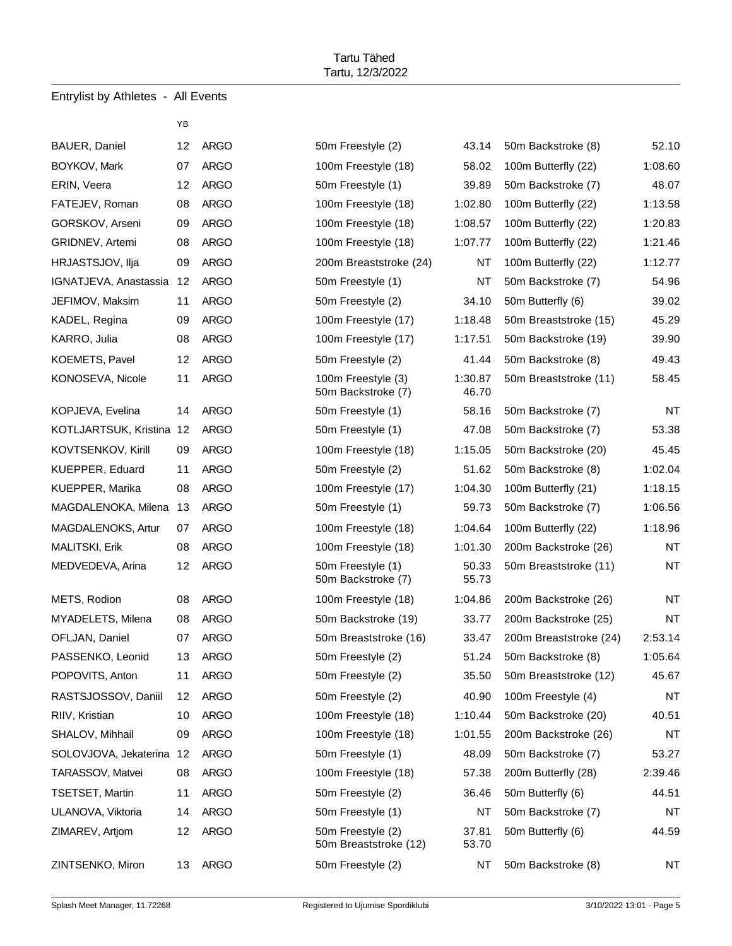|                       | YΒ              |             |
|-----------------------|-----------------|-------------|
| <b>BAUER, Daniel</b>  | 12              | ARGO        |
| BOYKOV, Mark          | 07              | ARGO        |
| ERIN, Veera           | 12              | <b>ARGO</b> |
| FATEJEV, Roman        | 08              | <b>ARGO</b> |
| GORSKOV, Arseni       | 09              | ARGO        |
| GRIDNEV, Artemi       | 08              | ARGO        |
| HRJASTSJOV, Ilja      | 09              | <b>ARGO</b> |
| IGNATJEVA, Anastassia | 12.             | ARGO        |
| JEFIMOV, Maksim       | 11              | <b>ARGO</b> |
| KADEL, Regina         | 09.             | <b>ARGO</b> |
| KARRO, Julia          | 08.             | ARGO        |
| KOEMETS, Pavel        | 12              | <b>ARGO</b> |
| KONOSEVA, Nicole      | 11              | <b>ARGO</b> |
| KOPJEVA, Evelina      | 14              | ARGO        |
| KOTLJARTSUK, Kristina | 12              | ARGO        |
| KOVTSENKOV, Kirill    | 09              | <b>ARGO</b> |
| KUEPPER, Eduard       | 11              | ARGO        |
| KUEPPER, Marika       | 08              | <b>ARGO</b> |
| MAGDALENOKA, Milena   | 13              | ARGO        |
| MAGDALENOKS, Artur    | 07              | ARGO        |
| MALITSKI, Erik        | 08              | <b>ARGO</b> |
| MEDVEDEVA, Arina      | 12              | ARGO        |
| METS, Rodion          | 08.             | ARGO        |
| MYADELETS, Milena     | 08.             | ARGO        |
| OFLJAN, Daniel        | 07              | ARGO        |
| PASSENKO, Leonid      | 13              | <b>ARGO</b> |
| POPOVITS, Anton       | 11              | <b>ARGO</b> |
| RASTSJOSSOV, Daniil   | 12              | <b>ARGO</b> |
| RIIV, Kristian        | 10              | <b>ARGO</b> |
| SHALOV, Mihhail       | 09 -            | <b>ARGO</b> |
| SOLOVJOVA, Jekaterina |                 | 12 ARGO     |
| TARASSOV, Matvei      | 08 -            | <b>ARGO</b> |
| TSETSET, Martin       | 11              | <b>ARGO</b> |
| ULANOVA, Viktoria     |                 | 14 ARGO     |
| ZIMAREV, Artjom       |                 | 12 ARGO     |
| ZINTSENKO, Miron      | 13 <sup>7</sup> | <b>ARGO</b> |

| 50m Freestyle (2)                          | 43.14            |
|--------------------------------------------|------------------|
| 100m Freestyle (18)                        | 58.02            |
| 50m Freestyle (1)                          | 39.89            |
| 100m Freestyle (18)                        | 1:02.80          |
| 100m Freestyle (18)                        | 1:08.57          |
| 100m Freestyle (18)                        | 1:07.77          |
| 200m Breaststroke (24)                     | NT               |
| 50m Freestyle (1)                          | NT               |
| 50m Freestyle (2)                          | 34.10            |
| 100m Freestyle (17)                        | 1:18.48          |
| 100m Freestyle (17)                        | 1:17.51          |
| 50m Freestyle (2)                          | 41.44            |
| 100m Freestyle (3)<br>50m Backstroke (7)   | 1:30.87<br>46.70 |
| 50m Freestyle (1)                          | 58.16            |
| 50m Freestyle (1)                          | 47.08            |
| 100m Freestyle (18)                        | 1:15.05          |
| 50m Freestyle (2)                          | 51.62            |
| 100m Freestyle (17)                        | 1:04.30          |
| 50m Freestyle (1)                          | 59.73            |
| 100m Freestyle (18)                        | 1:04.64          |
| 100m Freestyle (18)                        | 1:01.30          |
| 50m Freestyle (1)<br>50m Backstroke (7)    | 50.33<br>55.73   |
| 100m Freestyle (18)                        | 1:04.86          |
| 50m Backstroke (19)                        | 33.77            |
| 50m Breaststroke (16)                      | 33.47            |
| 50m Freestyle (2)                          | 51.24            |
| 50m Freestyle (2)                          | 35.50            |
| 50m Freestyle (2)                          | 40.90            |
| 100m Freestyle (18)                        | 1:10.44          |
| 100m Freestyle (18)                        | 1:01.55          |
| 50m Freestyle (1)                          | 48.09            |
| 100m Freestyle (18)                        | 57.38            |
| 50m Freestyle (2)                          | 36.46            |
| 50m Freestyle (1)                          | NΤ               |
| 50m Freestyle (2)<br>50m Breaststroke (12) | 37.81<br>53.70   |
| 50m Freestyle (2)                          | NΤ               |

| BAUER, Daniel            | 12                | <b>ARGO</b> | 50m Freestyle (2)                          | 43.14            | 50m Backstroke (8)     | 52.10     |
|--------------------------|-------------------|-------------|--------------------------------------------|------------------|------------------------|-----------|
| BOYKOV, Mark             | 07                | <b>ARGO</b> | 100m Freestyle (18)                        | 58.02            | 100m Butterfly (22)    | 1:08.60   |
| ERIN, Veera              | 12                | <b>ARGO</b> | 50m Freestyle (1)                          | 39.89            | 50m Backstroke (7)     | 48.07     |
| FATEJEV, Roman           | <b>ARGO</b><br>08 |             | 100m Freestyle (18)                        | 1:02.80          | 100m Butterfly (22)    | 1:13.58   |
| GORSKOV, Arseni          | 09                | <b>ARGO</b> | 100m Freestyle (18)                        | 1:08.57          | 100m Butterfly (22)    | 1:20.83   |
| GRIDNEV, Artemi          | 08                | <b>ARGO</b> | 100m Freestyle (18)                        | 1:07.77          | 100m Butterfly (22)    | 1:21.46   |
| HRJASTSJOV, Ilja         | 09                | <b>ARGO</b> | 200m Breaststroke (24)                     | NT               | 100m Butterfly (22)    | 1:12.77   |
| IGNATJEVA, Anastassia    | 12                | <b>ARGO</b> | 50m Freestyle (1)                          | NT               | 50m Backstroke (7)     | 54.96     |
| JEFIMOV, Maksim          | 11                | <b>ARGO</b> | 50m Freestyle (2)                          | 34.10            | 50m Butterfly (6)      | 39.02     |
| KADEL, Regina            | 09                | ARGO        | 100m Freestyle (17)                        | 1:18.48          | 50m Breaststroke (15)  | 45.29     |
| KARRO, Julia             | 08                | <b>ARGO</b> | 100m Freestyle (17)                        | 1:17.51          | 50m Backstroke (19)    | 39.90     |
| KOEMETS, Pavel           | 12                | <b>ARGO</b> | 50m Freestyle (2)                          | 41.44            | 50m Backstroke (8)     | 49.43     |
| KONOSEVA, Nicole         | 11                | <b>ARGO</b> | 100m Freestyle (3)<br>50m Backstroke (7)   | 1:30.87<br>46.70 | 50m Breaststroke (11)  | 58.45     |
| KOPJEVA, Evelina         | 14                | <b>ARGO</b> | 50m Freestyle (1)                          | 58.16            | 50m Backstroke (7)     | <b>NT</b> |
| KOTLJARTSUK, Kristina 12 |                   | <b>ARGO</b> | 50m Freestyle (1)                          | 47.08            | 50m Backstroke (7)     | 53.38     |
| KOVTSENKOV, Kirill       | 09                | <b>ARGO</b> | 100m Freestyle (18)                        | 1:15.05          | 50m Backstroke (20)    | 45.45     |
| KUEPPER, Eduard          | 11                | <b>ARGO</b> | 50m Freestyle (2)                          | 51.62            | 50m Backstroke (8)     | 1:02.04   |
| KUEPPER, Marika          | 08                | <b>ARGO</b> | 100m Freestyle (17)                        | 1:04.30          | 100m Butterfly (21)    | 1:18.15   |
| MAGDALENOKA, Milena      | 13                | <b>ARGO</b> | 50m Freestyle (1)                          | 59.73            | 50m Backstroke (7)     | 1:06.56   |
| MAGDALENOKS, Artur       | 07                | <b>ARGO</b> | 100m Freestyle (18)                        | 1:04.64          | 100m Butterfly (22)    | 1:18.96   |
| MALITSKI, Erik           | 08                | <b>ARGO</b> | 100m Freestyle (18)                        | 1:01.30          | 200m Backstroke (26)   | <b>NT</b> |
| MEDVEDEVA, Arina         | 12                | <b>ARGO</b> | 50m Freestyle (1)<br>50m Backstroke (7)    | 50.33<br>55.73   | 50m Breaststroke (11)  | <b>NT</b> |
| METS, Rodion             | 08                | <b>ARGO</b> | 100m Freestyle (18)                        | 1:04.86          | 200m Backstroke (26)   | <b>NT</b> |
| MYADELETS, Milena        | 08                | <b>ARGO</b> | 50m Backstroke (19)                        | 33.77            | 200m Backstroke (25)   | <b>NT</b> |
| OFLJAN, Daniel           | 07                | <b>ARGO</b> | 50m Breaststroke (16)                      | 33.47            | 200m Breaststroke (24) | 2:53.14   |
| PASSENKO, Leonid         | 13                | <b>ARGO</b> | 50m Freestyle (2)                          | 51.24            | 50m Backstroke (8)     | 1:05.64   |
| POPOVITS, Anton          | 11                | <b>ARGO</b> | 50m Freestyle (2)                          | 35.50            | 50m Breaststroke (12)  | 45.67     |
| RASTSJOSSOV, Daniil      | 12                | <b>ARGO</b> | 50m Freestyle (2)                          | 40.90            | 100m Freestyle (4)     | NT        |
| RIIV, Kristian           | 10                | <b>ARGO</b> | 100m Freestyle (18)                        | 1:10.44          | 50m Backstroke (20)    | 40.51     |
| SHALOV, Mihhail          | 09                | <b>ARGO</b> | 100m Freestyle (18)                        | 1:01.55          | 200m Backstroke (26)   | <b>NT</b> |
| SOLOVJOVA, Jekaterina    | 12                | <b>ARGO</b> | 50m Freestyle (1)                          | 48.09            | 50m Backstroke (7)     | 53.27     |
| TARASSOV, Matvei         | 08                | <b>ARGO</b> | 100m Freestyle (18)                        | 57.38            | 200m Butterfly (28)    | 2:39.46   |
| TSETSET, Martin          | 11                | <b>ARGO</b> | 50m Freestyle (2)                          | 36.46            | 50m Butterfly (6)      | 44.51     |
| ULANOVA, Viktoria        | 14                | <b>ARGO</b> | 50m Freestyle (1)                          | NT               | 50m Backstroke (7)     | NT        |
| ZIMAREV, Artjom          | 12                | <b>ARGO</b> | 50m Freestyle (2)<br>50m Breaststroke (12) | 37.81<br>53.70   | 50m Butterfly (6)      | 44.59     |
| ZINTSENKO, Miron         | 13                | <b>ARGO</b> | 50m Freestyle (2)                          | NT               | 50m Backstroke (8)     | <b>NT</b> |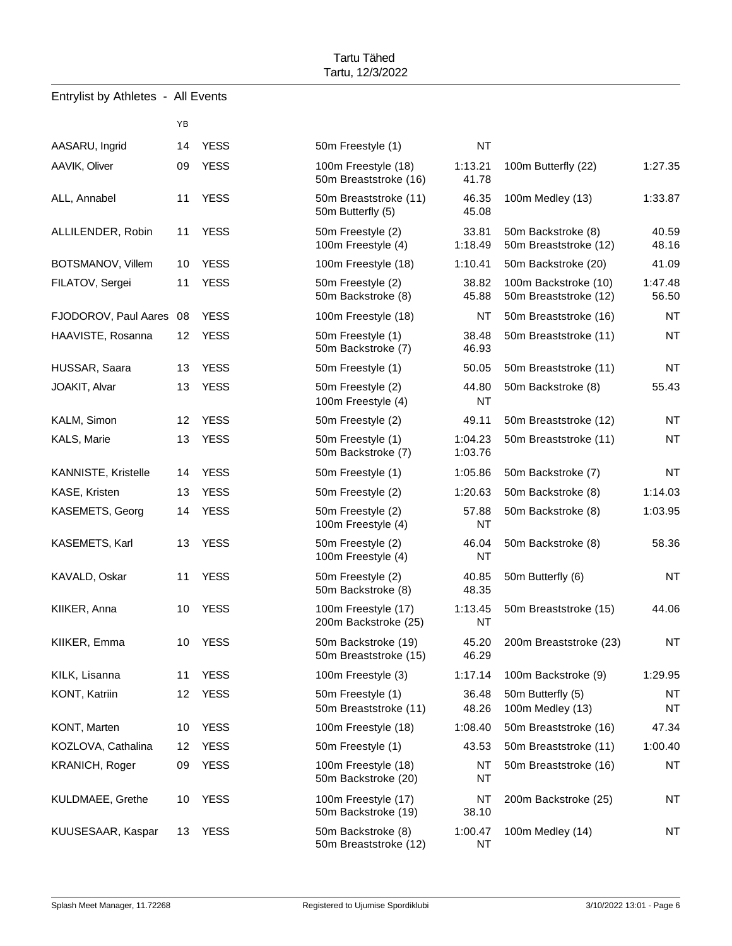|               |                            | ΥB              |             |                                                 |                       |                                               |                        |
|---------------|----------------------------|-----------------|-------------|-------------------------------------------------|-----------------------|-----------------------------------------------|------------------------|
|               | AASARU, Ingrid             | 14              | <b>YESS</b> | 50m Freestyle (1)                               | <b>NT</b>             |                                               |                        |
| AAVIK, Oliver |                            | 09              | <b>YESS</b> | 100m Freestyle (18)<br>50m Breaststroke (16)    | 1:13.21<br>41.78      | 100m Butterfly (22)                           | 1:27.35                |
|               | ALL, Annabel               | 11              | <b>YESS</b> | 50m Breaststroke (11)<br>50m Butterfly (5)      | 46.35<br>45.08        | 100m Medley (13)                              | 1:33.87                |
|               | ALLILENDER, Robin          | 11              | <b>YESS</b> | 50m Freestyle (2)<br>100m Freestyle (4)         | 33.81<br>1:18.49      | 50m Backstroke (8)<br>50m Breaststroke (12)   | 40.59<br>48.16         |
|               | BOTSMANOV, Villem          | 10              | <b>YESS</b> | 100m Freestyle (18)                             | 1:10.41               | 50m Backstroke (20)                           | 41.09                  |
|               | FILATOV, Sergei            | 11              | <b>YESS</b> | 50m Freestyle (2)<br>50m Backstroke (8)         | 38.82<br>45.88        | 100m Backstroke (10)<br>50m Breaststroke (12) | 1:47.48<br>56.50       |
|               | FJODOROV, Paul Aares 08    |                 | <b>YESS</b> | 100m Freestyle (18)                             | NT                    | 50m Breaststroke (16)                         | <b>NT</b>              |
|               | HAAVISTE, Rosanna          | 12 <sup>2</sup> | <b>YESS</b> | 50m Freestyle (1)<br>50m Backstroke (7)         | 38.48<br>46.93        | 50m Breaststroke (11)                         | <b>NT</b>              |
|               | HUSSAR, Saara              | 13              | <b>YESS</b> | 50m Freestyle (1)                               | 50.05                 | 50m Breaststroke (11)                         | <b>NT</b>              |
|               | JOAKIT, Alvar              | 13              | <b>YESS</b> | 50m Freestyle (2)<br>100m Freestyle (4)         | 44.80<br><b>NT</b>    | 50m Backstroke (8)                            | 55.43                  |
|               | KALM, Simon                | 12              | <b>YESS</b> | 50m Freestyle (2)                               | 49.11                 | 50m Breaststroke (12)                         | <b>NT</b>              |
|               | KALS, Marie                | 13              | <b>YESS</b> | 50m Freestyle (1)<br>50m Backstroke (7)         | 1:04.23<br>1:03.76    | 50m Breaststroke (11)                         | <b>NT</b>              |
|               | <b>KANNISTE, Kristelle</b> | 14              | <b>YESS</b> | 50m Freestyle (1)                               | 1:05.86               | 50m Backstroke (7)                            | <b>NT</b>              |
|               | KASE, Kristen              | 13              | <b>YESS</b> | 50m Freestyle (2)                               | 1:20.63               | 50m Backstroke (8)                            | 1:14.03                |
|               | KASEMETS, Georg            | 14              | <b>YESS</b> | 50m Freestyle (2)<br>100m Freestyle (4)         | 57.88<br><b>NT</b>    | 50m Backstroke (8)                            | 1:03.95                |
|               | KASEMETS, Karl             | 13              | <b>YESS</b> | 50m Freestyle (2)<br>100m Freestyle (4)         | 46.04<br>NT           | 50m Backstroke (8)                            | 58.36                  |
|               | KAVALD, Oskar              | 11              | <b>YESS</b> | 50m Freestyle (2)<br>50m Backstroke (8)         | 40.85<br>48.35        | 50m Butterfly (6)                             | <b>NT</b>              |
|               | KIIKER, Anna               | 10              | <b>YESS</b> | 100m Freestyle (17)<br>200m Backstroke (25)     | 1:13.45<br>NT         | 50m Breaststroke (15)                         | 44.06                  |
|               | KIIKER, Emma               | 10              | <b>YESS</b> | 50m Backstroke (19)<br>50m Breaststroke (15)    | 45.20<br>46.29        | 200m Breaststroke (23)                        | <b>NT</b>              |
|               | KILK, Lisanna              | 11              | <b>YESS</b> | 100m Freestyle (3)                              | 1:17.14               | 100m Backstroke (9)                           | 1:29.95                |
|               | <b>KONT, Katriin</b>       | 12              | <b>YESS</b> | 50m Freestyle (1)<br>50m Breaststroke (11)      | 36.48<br>48.26        | 50m Butterfly (5)<br>100m Medley (13)         | <b>NT</b><br><b>NT</b> |
|               | KONT, Marten               | 10              | <b>YESS</b> | 100m Freestyle (18)                             | 1:08.40               | 50m Breaststroke (16)                         | 47.34                  |
|               | KOZLOVA, Cathalina         | 12              | <b>YESS</b> | 50m Freestyle (1)                               | 43.53                 | 50m Breaststroke (11)                         | 1:00.40                |
|               | <b>KRANICH, Roger</b>      | 09              | <b>YESS</b> | 100m Freestyle (18)<br>50m Backstroke (20)      | NT<br>NT              | 50m Breaststroke (16)                         | <b>NT</b>              |
|               | <b>KULDMAEE, Grethe</b>    | 10              | <b>YESS</b> | 100m Freestyle (17)<br>50m Backstroke (19)      | NT<br>38.10           | 200m Backstroke (25)                          | <b>NT</b>              |
|               | KUUSESAAR, Kaspar          | 13              | <b>YESS</b> | 50m Backstroke (8)<br>$F0m$ Propotatraka $(12)$ | 1:00.47<br><b>NIT</b> | 100m Medley (14)                              | <b>NT</b>              |

| 50m Freestyle (1)     | NΤ        |
|-----------------------|-----------|
| 100m Freestyle (18)   | 1:13.21   |
| 50m Breaststroke (16) | 41.78     |
| 50m Breaststroke (11) | 46.35     |
| 50m Butterfly (5)     | 45.08     |
| 50m Freestyle (2)     | 33.81     |
| 100m Freestyle (4)    | 1:18.49   |
| 100m Freestyle (18)   | 1:10.41   |
| 50m Freestyle (2)     | 38.82     |
| 50m Backstroke (8)    | 45.88     |
| 100m Freestyle (18)   | NT        |
| 50m Freestyle (1)     | 38.48     |
| 50m Backstroke (7)    | 46.93     |
| 50m Freestyle (1)     | 50.05     |
| 50m Freestyle (2)     | 44.80     |
| 100m Freestyle (4)    | <b>NT</b> |
| 50m Freestyle (2)     | 49.11     |
| 50m Freestyle (1)     | 1:04.23   |
| 50m Backstroke (7)    | 1:03.76   |
| 50m Freestyle (1)     | 1:05.86   |
| 50m Freestyle (2)     | 1:20.63   |
| 50m Freestyle (2)     | 57.88     |
| 100m Freestyle (4)    | <b>NT</b> |
| 50m Freestyle (2)     | 46.04     |
| 100m Freestyle (4)    | <b>NT</b> |
| 50m Freestyle (2)     | 40.85     |
| 50m Backstroke (8)    | 48.35     |
| 100m Freestyle (17)   | 1:13.45   |
| 200m Backstroke (25)  | NΤ        |
| 50m Backstroke (19)   | 45.20     |
| 50m Breaststroke (15) | 46.29     |
| 100m Freestyle (3)    | 1:17.14   |
| 50m Freestyle (1)     | 36.48     |
| 50m Breaststroke (11) | 48.26     |
| 100m Freestyle (18)   | 1:08.40   |
| 50m Freestyle (1)     | 43.53     |
| 100m Freestyle (18)   | NΤ        |
| 50m Backstroke (20)   | NΤ        |
| 100m Freestyle (17)   | NΤ        |
| 50m Backstroke (19)   | 38.10     |
| 50m Backstroke (8)    | 1:00.47   |
| 50m Breaststroke (12) | ΝT        |

| 100m Freestyle (18)<br>50m Breaststroke (16) | 1:13.21<br>41.78     | 100m Butterfly (22)                           | 1:27.35          |
|----------------------------------------------|----------------------|-----------------------------------------------|------------------|
| 50m Breaststroke (11)<br>50m Butterfly (5)   | 46.35<br>45.08       | 100m Medley (13)                              | 1:33.87          |
| 50m Freestyle (2)<br>100m Freestyle (4)      | 33.81<br>1:18.49     | 50m Backstroke (8)<br>50m Breaststroke (12)   | 40.59<br>48.16   |
| 100m Freestyle (18)                          | 1:10.41              | 50m Backstroke (20)                           | 41.09            |
| 50m Freestyle (2)<br>50m Backstroke (8)      | 38.82<br>45.88       | 100m Backstroke (10)<br>50m Breaststroke (12) | 1:47.48<br>56.50 |
| 100m Freestyle (18)                          | <b>NT</b>            | 50m Breaststroke (16)                         | <b>NT</b>        |
| 50m Freestyle (1)<br>50m Backstroke (7)      | 38.48<br>46.93       | 50m Breaststroke (11)                         | <b>NT</b>        |
| 50m Freestyle (1)                            | 50.05                | 50m Breaststroke (11)                         | NT               |
| 50m Freestyle (2)<br>100m Freestyle (4)      | 44.80<br>NT          | 50m Backstroke (8)                            | 55.43            |
| 50m Freestyle (2)                            | 49.11                | 50m Breaststroke (12)                         | <b>NT</b>        |
| 50m Freestyle (1)<br>50m Backstroke (7)      | 1:04.23<br>1:03.76   | 50m Breaststroke (11)                         | NT.              |
| 50m Freestyle (1)                            | 1:05.86              | 50m Backstroke (7)                            | NT.              |
| 50m Freestyle (2)                            | 1:20.63              | 50m Backstroke (8)                            | 1:14.03          |
| 50m Freestyle (2)<br>100m Freestyle (4)      | 57.88<br>NT          | 50m Backstroke (8)                            | 1:03.95          |
| 50m Freestyle (2)<br>100m Freestyle (4)      | 46.04<br>NT          | 50m Backstroke (8)                            | 58.36            |
| 50m Freestyle (2)<br>50m Backstroke (8)      | 40.85<br>48.35       | 50m Butterfly (6)                             | <b>NT</b>        |
| 100m Freestyle (17)<br>200m Backstroke (25)  | 1:13.45<br><b>NT</b> | 50m Breaststroke (15)                         | 44.06            |
| 50m Backstroke (19)<br>50m Breaststroke (15) | 45.20<br>46.29       | 200m Breaststroke (23)                        | <b>NT</b>        |
| 100m Freestyle (3)                           | 1:17.14              | 100m Backstroke (9)                           | 1:29.95          |
| 50m Freestyle (1)<br>50m Breaststroke (11)   | 36.48<br>48.26       | 50m Butterfly (5)<br>100m Medley (13)         | NT.<br>NT        |
| 100m Freestyle (18)                          | 1:08.40              | 50m Breaststroke (16)                         | 47.34            |
| 50m Freestyle (1)                            | 43.53                | 50m Breaststroke (11)                         | 1:00.40          |
| 100m Freestyle (18)<br>50m Backstroke (20)   | ΝT<br>ΝT             | 50m Breaststroke (16)                         | NT               |
| 100m Freestyle (17)<br>50m Backstroke (19)   | NT<br>38.10          | 200m Backstroke (25)                          | NT               |
| 50m Backstroke (8)<br>50m Breaststroke (12)  | 1:00.47<br>ΝT        | 100m Medley (14)                              | <b>NT</b>        |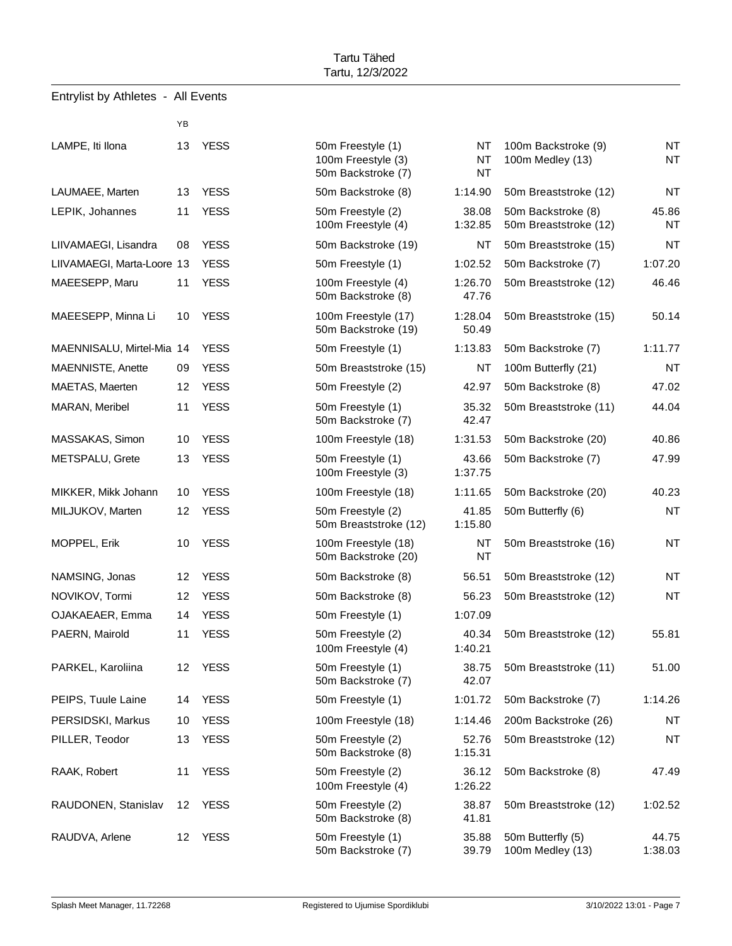|  | Entrylist by Athletes - |  | <b>All Events</b> |
|--|-------------------------|--|-------------------|
|--|-------------------------|--|-------------------|

|                            | ΥB |             |                                            |                  |
|----------------------------|----|-------------|--------------------------------------------|------------------|
| LAMPE, Iti Ilona           | 13 | <b>YESS</b> | 50m Freestyle (1)<br>100m Freestyle (3)    | <b>NT</b><br>NT  |
|                            |    |             | 50m Backstroke (7)                         | NT               |
| LAUMAEE, Marten            | 13 | <b>YESS</b> | 50m Backstroke (8)                         | 1:14.90          |
| LEPIK, Johannes            | 11 | <b>YESS</b> | 50m Freestyle (2)<br>100m Freestyle (4)    | 38.08<br>1:32.85 |
| LIIVAMAEGI, Lisandra       | 08 | <b>YESS</b> | 50m Backstroke (19)                        | <b>NT</b>        |
| LIIVAMAEGI, Marta-Loore 13 |    | YESS        | 50m Freestyle (1)                          | 1:02.52          |
| MAEESEPP, Maru             | 11 | <b>YESS</b> | 100m Freestyle (4)<br>50m Backstroke (8)   | 1:26.70<br>47.76 |
| MAEESEPP, Minna Li         | 10 | <b>YESS</b> | 100m Freestyle (17)<br>50m Backstroke (19) | 1:28.04<br>50.49 |
| MAENNISALU, Mirtel-Mia 14  |    | <b>YESS</b> | 50m Freestyle (1)                          | 1:13.83          |
| MAENNISTE, Anette          | 09 | <b>YESS</b> | 50m Breaststroke (15)                      | <b>NT</b>        |
| MAETAS, Maerten            | 12 | <b>YESS</b> | 50m Freestyle (2)                          | 42.97            |
| MARAN, Meribel             | 11 | <b>YESS</b> | 50m Freestyle (1)<br>50m Backstroke (7)    | 35.32<br>42.47   |
| MASSAKAS, Simon            | 10 | <b>YESS</b> | 100m Freestyle (18)                        | 1:31.53          |
| METSPALU, Grete            | 13 | <b>YESS</b> | 50m Freestyle (1)<br>100m Freestyle (3)    | 43.66<br>1:37.75 |
| MIKKER, Mikk Johann        | 10 | <b>YESS</b> | 100m Freestyle (18)                        | 1:11.65          |
| MILJUKOV, Marten           | 12 | <b>YESS</b> | 50m Freestyle (2)<br>50m Breaststroke (12) | 41.85<br>1:15.80 |
| MOPPEL, Erik               | 10 | <b>YESS</b> | 100m Freestyle (18)<br>50m Backstroke (20) | NT<br>NT         |
| NAMSING, Jonas             | 12 | <b>YESS</b> | 50m Backstroke (8)                         | 56.51            |
| NOVIKOV, Tormi             | 12 | <b>YESS</b> | 50m Backstroke (8)                         | 56.23            |
| OJAKAEAER, Emma            | 14 | <b>YESS</b> | 50m Freestyle (1)                          | 1:07.09          |
| PAERN, Mairold             | 11 | <b>YESS</b> | 50m Freestyle (2)<br>100m Freestyle (4)    | 40.34<br>1:40.21 |
| PARKEL, Karoliina          | 12 | <b>YESS</b> | 50m Freestyle (1)<br>50m Backstroke (7)    | 38.75<br>42.07   |
| PEIPS, Tuule Laine         | 14 | <b>YESS</b> | 50m Freestyle (1)                          | 1:01.72          |
| PERSIDSKI, Markus          | 10 | <b>YESS</b> | 100m Freestyle (18)                        | 1:14.46          |
| PILLER, Teodor             | 13 | <b>YESS</b> | 50m Freestyle (2)<br>50m Backstroke (8)    | 52.76<br>1:15.31 |
| RAAK, Robert               | 11 | <b>YESS</b> | 50m Freestyle (2)<br>100m Freestyle (4)    | 36.12<br>1:26.22 |
| RAUDONEN, Stanislav        | 12 | <b>YESS</b> | 50m Freestyle (2)<br>50m Backstroke (8)    | 38.87<br>41.81   |
| RAUDVA, Arlene             | 12 | <b>YESS</b> | 50m Freestyle (1)                          | 35.88            |

| 50m Freestyle (1)     | ΝT      |
|-----------------------|---------|
| 100m Freestyle (3)    | NT      |
| 50m Backstroke (7)    | NT      |
| 50m Backstroke (8)    | 1:14.90 |
| 50m Freestyle (2)     | 38.08   |
| 100m Freestyle (4)    | 1:32.85 |
| 50m Backstroke (19)   | NT      |
| 50m Freestyle (1)     | 1:02.52 |
| 100m Freestyle (4)    | 1:26.70 |
| 50m Backstroke (8)    | 47.76   |
| 100m Freestyle (17)   | 1:28.04 |
| 50m Backstroke (19)   | 50.49   |
| 50m Freestyle (1)     | 1:13.83 |
| 50m Breaststroke (15) | NT      |
| 50m Freestyle (2)     | 42.97   |
| 50m Freestyle (1)     | 35.32   |
| 50m Backstroke (7)    | 42.47   |
| 100m Freestyle (18)   | 1:31.53 |
| 50m Freestyle (1)     | 43.66   |
| 100m Freestyle (3)    | 1:37.75 |
| 100m Freestyle (18)   | 1:11.65 |
| 50m Freestyle (2)     | 41.85   |
| 50m Breaststroke (12) | 1:15.80 |
| 100m Freestyle (18)   | ΝT      |
| 50m Backstroke (20)   | NΤ      |
| 50m Backstroke (8)    | 56.51   |
| 50m Backstroke (8)    | 56.23   |
| 50m Freestyle (1)     | 1:07.09 |
| 50m Freestyle (2)     | 40.34   |
| 100m Freestyle (4)    | 1:40.21 |
| 50m Freestyle (1)     | 38.75   |
| 50m Backstroke (7)    | 42.07   |
| 50m Freestyle (1)     | 1:01.72 |
| 100m Freestyle (18)   | 1:14.46 |
| 50m Freestyle (2)     | 52.76   |
| 50m Backstroke (8)    | 1:15.31 |
| 50m Freestyle (2)     | 36.12   |
| 100m Freestyle (4)    | 1:26.22 |
| 50m Freestyle (2)     | 38.87   |
| 50m Backstroke (8)    | 41.81   |
| 50m Freestyle (1)     | 35.88   |
| 50m Backstroke (7)    | 39.79   |

| LAMPE, Iti Ilona           | 13 | <b>YESS</b> | 50m Freestyle (1)<br>100m Freestyle (3)<br>50m Backstroke (7) | NT<br><b>NT</b><br><b>NT</b> | 100m Backstroke (9)<br>100m Medley (13)     | <b>NT</b><br><b>NT</b> |
|----------------------------|----|-------------|---------------------------------------------------------------|------------------------------|---------------------------------------------|------------------------|
| LAUMAEE, Marten            | 13 | <b>YESS</b> | 50m Backstroke (8)                                            | 1:14.90                      | 50m Breaststroke (12)                       | <b>NT</b>              |
| LEPIK, Johannes            | 11 | <b>YESS</b> | 50m Freestyle (2)<br>100m Freestyle (4)                       | 38.08<br>1:32.85             | 50m Backstroke (8)<br>50m Breaststroke (12) | 45.86<br>NT            |
| LIIVAMAEGI, Lisandra       | 08 | <b>YESS</b> | 50m Backstroke (19)                                           | NT                           | 50m Breaststroke (15)                       | <b>NT</b>              |
| LIIVAMAEGI, Marta-Loore 13 |    | <b>YESS</b> | 50m Freestyle (1)                                             | 1:02.52                      | 50m Backstroke (7)                          | 1:07.20                |
| MAEESEPP, Maru             | 11 | <b>YESS</b> | 100m Freestyle (4)<br>50m Backstroke (8)                      | 1:26.70<br>47.76             | 50m Breaststroke (12)                       | 46.46                  |
| MAEESEPP, Minna Li         | 10 | <b>YESS</b> | 100m Freestyle (17)<br>50m Backstroke (19)                    | 1:28.04<br>50.49             | 50m Breaststroke (15)                       | 50.14                  |
| MAENNISALU, Mirtel-Mia 14  |    | <b>YESS</b> | 50m Freestyle (1)                                             | 1:13.83                      | 50m Backstroke (7)                          | 1:11.77                |
| MAENNISTE, Anette          | 09 | <b>YESS</b> | 50m Breaststroke (15)                                         | NT                           | 100m Butterfly (21)                         | <b>NT</b>              |
| MAETAS, Maerten            | 12 | <b>YESS</b> | 50m Freestyle (2)                                             | 42.97                        | 50m Backstroke (8)                          | 47.02                  |
| MARAN, Meribel             | 11 | <b>YESS</b> | 50m Freestyle (1)<br>50m Backstroke (7)                       | 35.32<br>42.47               | 50m Breaststroke (11)                       | 44.04                  |
| MASSAKAS, Simon            | 10 | <b>YESS</b> | 100m Freestyle (18)                                           | 1:31.53                      | 50m Backstroke (20)                         | 40.86                  |
| METSPALU, Grete            | 13 | <b>YESS</b> | 50m Freestyle (1)<br>100m Freestyle (3)                       | 43.66<br>1:37.75             | 50m Backstroke (7)                          | 47.99                  |
| MIKKER, Mikk Johann        | 10 | <b>YESS</b> | 100m Freestyle (18)                                           | 1:11.65                      | 50m Backstroke (20)                         | 40.23                  |
| MILJUKOV, Marten           | 12 | <b>YESS</b> | 50m Freestyle (2)<br>50m Breaststroke (12)                    | 41.85<br>1:15.80             | 50m Butterfly (6)                           | <b>NT</b>              |
| MOPPEL, Erik               | 10 | <b>YESS</b> | 100m Freestyle (18)<br>50m Backstroke (20)                    | NT<br>NT                     | 50m Breaststroke (16)                       | <b>NT</b>              |
| NAMSING, Jonas             | 12 | <b>YESS</b> | 50m Backstroke (8)                                            | 56.51                        | 50m Breaststroke (12)                       | <b>NT</b>              |
| NOVIKOV, Tormi             | 12 | <b>YESS</b> | 50m Backstroke (8)                                            | 56.23                        | 50m Breaststroke (12)                       | <b>NT</b>              |
| OJAKAEAER, Emma            | 14 | <b>YESS</b> | 50m Freestyle (1)                                             | 1:07.09                      |                                             |                        |
| PAERN, Mairold             | 11 | <b>YESS</b> | 50m Freestyle (2)<br>100m Freestyle (4)                       | 40.34<br>1:40.21             | 50m Breaststroke (12)                       | 55.81                  |
| PARKEL, Karoliina          | 12 | <b>YESS</b> | 50m Freestyle (1)<br>50m Backstroke (7)                       | 38.75<br>42.07               | 50m Breaststroke (11)                       | 51.00                  |
| PEIPS, Tuule Laine         | 14 | <b>YESS</b> | 50m Freestyle (1)                                             | 1:01.72                      | 50m Backstroke (7)                          | 1:14.26                |
| PERSIDSKI, Markus          | 10 | <b>YESS</b> | 100m Freestyle (18)                                           | 1:14.46                      | 200m Backstroke (26)                        | <b>NT</b>              |
| PILLER, Teodor             | 13 | <b>YESS</b> | 50m Freestyle (2)<br>50m Backstroke (8)                       | 52.76<br>1:15.31             | 50m Breaststroke (12)                       | <b>NT</b>              |
| RAAK, Robert               | 11 | <b>YESS</b> | 50m Freestyle (2)<br>100m Freestyle (4)                       | 36.12<br>1:26.22             | 50m Backstroke (8)                          | 47.49                  |
| RAUDONEN, Stanislav        | 12 | <b>YESS</b> | 50m Freestyle (2)<br>50m Backstroke (8)                       | 38.87<br>41.81               | 50m Breaststroke (12)                       | 1:02.52                |
| RAUDVA, Arlene             | 12 | <b>YESS</b> | 50m Freestyle (1)<br>50m Backstroke (7)                       | 35.88<br>39.79               | 50m Butterfly (5)<br>100m Medley (13)       | 44.75<br>1:38.03       |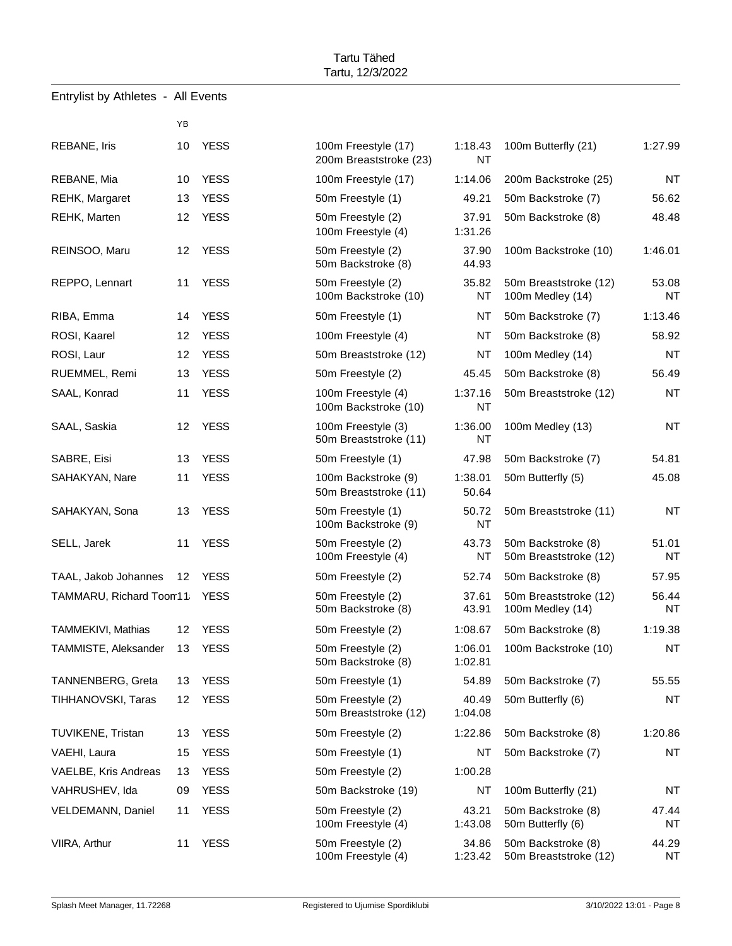|                                    |                 |             | Tartu, 12/3/2022                              |                      |                                             |                    |
|------------------------------------|-----------------|-------------|-----------------------------------------------|----------------------|---------------------------------------------|--------------------|
| Entrylist by Athletes - All Events |                 |             |                                               |                      |                                             |                    |
|                                    | YB              |             |                                               |                      |                                             |                    |
| REBANE, Iris                       | 10              | <b>YESS</b> | 100m Freestyle (17)<br>200m Breaststroke (23) | 1:18.43<br><b>NT</b> | 100m Butterfly (21)                         | 1:27.99            |
| REBANE, Mia                        | 10              | <b>YESS</b> | 100m Freestyle (17)                           | 1:14.06              | 200m Backstroke (25)                        | <b>NT</b>          |
| REHK, Margaret                     | 13              | <b>YESS</b> | 50m Freestyle (1)                             | 49.21                | 50m Backstroke (7)                          | 56.62              |
| <b>REHK, Marten</b>                | 12 <sup>2</sup> | <b>YESS</b> | 50m Freestyle (2)<br>100m Freestyle (4)       | 37.91<br>1:31.26     | 50m Backstroke (8)                          | 48.48              |
| REINSOO, Maru                      | 12              | YESS        | 50m Freestyle (2)<br>50m Backstroke (8)       | 37.90<br>44.93       | 100m Backstroke (10)                        | 1:46.01            |
| REPPO, Lennart                     | 11              | <b>YESS</b> | 50m Freestyle (2)<br>100m Backstroke (10)     | 35.82<br>NT          | 50m Breaststroke (12)<br>100m Medley (14)   | 53.08<br>NT        |
| RIBA, Emma                         | 14              | <b>YESS</b> | 50m Freestyle (1)                             | NT                   | 50m Backstroke (7)                          | 1:13.46            |
| ROSI, Kaarel                       | 12              | <b>YESS</b> | 100m Freestyle (4)                            | NT                   | 50m Backstroke (8)                          | 58.92              |
| ROSI, Laur                         | 12              | <b>YESS</b> | 50m Breaststroke (12)                         | NT                   | 100m Medley (14)                            | <b>NT</b>          |
| RUEMMEL, Remi                      | 13              | <b>YESS</b> | 50m Freestyle (2)                             | 45.45                | 50m Backstroke (8)                          | 56.49              |
| SAAL, Konrad                       | 11              | <b>YESS</b> | 100m Freestyle (4)<br>100m Backstroke (10)    | 1:37.16<br><b>NT</b> | 50m Breaststroke (12)                       | <b>NT</b>          |
| SAAL, Saskia                       | 12              | <b>YESS</b> | 100m Freestyle (3)<br>50m Breaststroke (11)   | 1:36.00<br>NT        | 100m Medley (13)                            | <b>NT</b>          |
| SABRE, Eisi                        | 13              | <b>YESS</b> | 50m Freestyle (1)                             | 47.98                | 50m Backstroke (7)                          | 54.81              |
| SAHAKYAN, Nare                     | 11              | <b>YESS</b> | 100m Backstroke (9)<br>50m Breaststroke (11)  | 1:38.01<br>50.64     | 50m Butterfly (5)                           | 45.08              |
| SAHAKYAN, Sona                     | 13              | <b>YESS</b> | 50m Freestyle (1)<br>100m Backstroke (9)      | 50.72<br>NT          | 50m Breaststroke (11)                       | <b>NT</b>          |
| SELL, Jarek                        | 11              | <b>YESS</b> | 50m Freestyle (2)<br>100m Freestyle (4)       | 43.73<br>NT          | 50m Backstroke (8)<br>50m Breaststroke (12) | 51.01<br>ΝT        |
| TAAL, Jakob Johannes               | 12              | <b>YESS</b> | 50m Freestyle (2)                             | 52.74                | 50m Backstroke (8)                          | 57.95              |
| TAMMARU, Richard Toon11 YESS       |                 |             | 50m Freestyle (2)<br>50m Backstroke (8)       | 37.61<br>43.91       | 50m Breaststroke (12)<br>100m Medley (14)   | 56.44<br><b>NT</b> |
| TAMMEKIVI, Mathias                 | 12              | <b>YESS</b> | 50m Freestyle (2)                             | 1:08.67              | 50m Backstroke (8)                          | 1:19.38            |
| TAMMISTE, Aleksander               | 13              | <b>YESS</b> | 50m Freestyle (2)<br>50m Backstroke (8)       | 1:06.01<br>1:02.81   | 100m Backstroke (10)                        | <b>NT</b>          |
| <b>TANNENBERG, Greta</b>           | 13              | <b>YESS</b> | 50m Freestyle (1)                             | 54.89                | 50m Backstroke (7)                          | 55.55              |
| TIHHANOVSKI, Taras                 | 12              | <b>YESS</b> | 50m Freestyle (2)<br>50m Breaststroke (12)    | 40.49<br>1:04.08     | 50m Butterfly (6)                           | <b>NT</b>          |
| <b>TUVIKENE, Tristan</b>           | 13              | <b>YESS</b> | 50m Freestyle (2)                             | 1:22.86              | 50m Backstroke (8)                          | 1:20.86            |
| VAEHI, Laura                       | 15              | <b>YESS</b> | 50m Freestyle (1)                             | NT                   | 50m Backstroke (7)                          | <b>NT</b>          |
| VAELBE, Kris Andreas               | 13              | <b>YESS</b> | 50m Freestyle (2)                             | 1:00.28              |                                             |                    |
| VAHRUSHEV, Ida                     | 09              | <b>YESS</b> | 50m Backstroke (19)                           | NT                   | 100m Butterfly (21)                         | NT                 |
| <b>VELDEMANN, Daniel</b>           | 11              | <b>YESS</b> | 50m Freestyle (2)<br>100m Freestyle (4)       | 43.21<br>1:43.08     | 50m Backstroke (8)<br>50m Butterfly (6)     | 47.44<br>NT        |
| VIIRA, Arthur                      | 11              | <b>YESS</b> | 50m Freestyle (2)<br>100m Freestyle (4)       | 34.86<br>1:23.42     | 50m Backstroke (8)<br>50m Breaststroke (12) | 44.29<br>NT        |

Tartu Tähed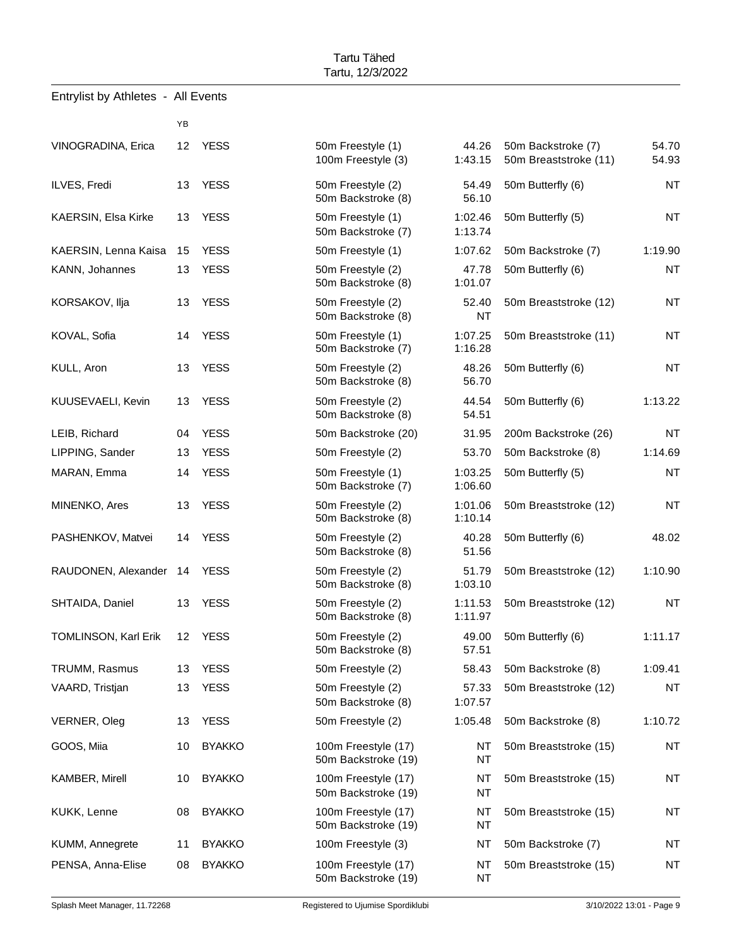|                             | YB |               |                                            |                    |                                             |                |
|-----------------------------|----|---------------|--------------------------------------------|--------------------|---------------------------------------------|----------------|
| VINOGRADINA, Erica          | 12 | <b>YESS</b>   | 50m Freestyle (1)<br>100m Freestyle (3)    | 44.26<br>1:43.15   | 50m Backstroke (7)<br>50m Breaststroke (11) | 54.70<br>54.93 |
| ILVES, Fredi                | 13 | <b>YESS</b>   | 50m Freestyle (2)<br>50m Backstroke (8)    | 54.49<br>56.10     | 50m Butterfly (6)                           | <b>NT</b>      |
| KAERSIN, Elsa Kirke         | 13 | <b>YESS</b>   | 50m Freestyle (1)<br>50m Backstroke (7)    | 1:02.46<br>1:13.74 | 50m Butterfly (5)                           | <b>NT</b>      |
| KAERSIN, Lenna Kaisa        | 15 | <b>YESS</b>   | 50m Freestyle (1)                          | 1:07.62            | 50m Backstroke (7)                          | 1:19.90        |
| KANN, Johannes              | 13 | <b>YESS</b>   | 50m Freestyle (2)<br>50m Backstroke (8)    | 47.78<br>1:01.07   | 50m Butterfly (6)                           | <b>NT</b>      |
| KORSAKOV, Ilja              | 13 | <b>YESS</b>   | 50m Freestyle (2)<br>50m Backstroke (8)    | 52.40<br><b>NT</b> | 50m Breaststroke (12)                       | <b>NT</b>      |
| KOVAL, Sofia                | 14 | <b>YESS</b>   | 50m Freestyle (1)<br>50m Backstroke (7)    | 1:07.25<br>1:16.28 | 50m Breaststroke (11)                       | <b>NT</b>      |
| KULL, Aron                  | 13 | <b>YESS</b>   | 50m Freestyle (2)<br>50m Backstroke (8)    | 48.26<br>56.70     | 50m Butterfly (6)                           | <b>NT</b>      |
| KUUSEVAELI, Kevin           | 13 | <b>YESS</b>   | 50m Freestyle (2)<br>50m Backstroke (8)    | 44.54<br>54.51     | 50m Butterfly (6)                           | 1:13.22        |
| LEIB, Richard               | 04 | <b>YESS</b>   | 50m Backstroke (20)                        | 31.95              | 200m Backstroke (26)                        | <b>NT</b>      |
| LIPPING, Sander             | 13 | <b>YESS</b>   | 50m Freestyle (2)                          | 53.70              | 50m Backstroke (8)                          | 1:14.69        |
| MARAN, Emma                 | 14 | <b>YESS</b>   | 50m Freestyle (1)<br>50m Backstroke (7)    | 1:03.25<br>1:06.60 | 50m Butterfly (5)                           | <b>NT</b>      |
| MINENKO, Ares               | 13 | <b>YESS</b>   | 50m Freestyle (2)<br>50m Backstroke (8)    | 1:01.06<br>1:10.14 | 50m Breaststroke (12)                       | <b>NT</b>      |
| PASHENKOV, Matvei           | 14 | <b>YESS</b>   | 50m Freestyle (2)<br>50m Backstroke (8)    | 40.28<br>51.56     | 50m Butterfly (6)                           | 48.02          |
| RAUDONEN, Alexander 14      |    | <b>YESS</b>   | 50m Freestyle (2)<br>50m Backstroke (8)    | 51.79<br>1:03.10   | 50m Breaststroke (12)                       | 1:10.90        |
| SHTAIDA, Daniel             | 13 | <b>YESS</b>   | 50m Freestyle (2)<br>50m Backstroke (8)    | 1:11.53<br>1:11.97 | 50m Breaststroke (12)                       | <b>NT</b>      |
| <b>TOMLINSON, Karl Erik</b> | 12 | <b>YESS</b>   | 50m Freestyle (2)<br>50m Backstroke (8)    | 49.00<br>57.51     | 50m Butterfly (6)                           | 1:11.17        |
| TRUMM, Rasmus               | 13 | <b>YESS</b>   | 50m Freestyle (2)                          | 58.43              | 50m Backstroke (8)                          | 1:09.41        |
| VAARD, Tristjan             | 13 | <b>YESS</b>   | 50m Freestyle (2)<br>50m Backstroke (8)    | 57.33<br>1:07.57   | 50m Breaststroke (12)                       | <b>NT</b>      |
| VERNER, Oleg                | 13 | <b>YESS</b>   | 50m Freestyle (2)                          | 1:05.48            | 50m Backstroke (8)                          | 1:10.72        |
| GOOS, Miia                  | 10 | <b>BYAKKO</b> | 100m Freestyle (17)<br>50m Backstroke (19) | NT<br>NT           | 50m Breaststroke (15)                       | <b>NT</b>      |
| KAMBER, Mirell              | 10 | <b>BYAKKO</b> | 100m Freestyle (17)<br>50m Backstroke (19) | NT<br>NT           | 50m Breaststroke (15)                       | <b>NT</b>      |
| KUKK, Lenne                 | 08 | <b>BYAKKO</b> | 100m Freestyle (17)<br>50m Backstroke (19) | NT<br>NT           | 50m Breaststroke (15)                       | <b>NT</b>      |
| KUMM, Annegrete             | 11 | <b>BYAKKO</b> | 100m Freestyle (3)                         | NT                 | 50m Backstroke (7)                          | <b>NT</b>      |
| PENSA, Anna-Elise           | 08 | <b>BYAKKO</b> | 100m Freestyle (17)<br>50m Backstroke (19) | NT<br>NT           | 50m Breaststroke (15)                       | <b>NT</b>      |